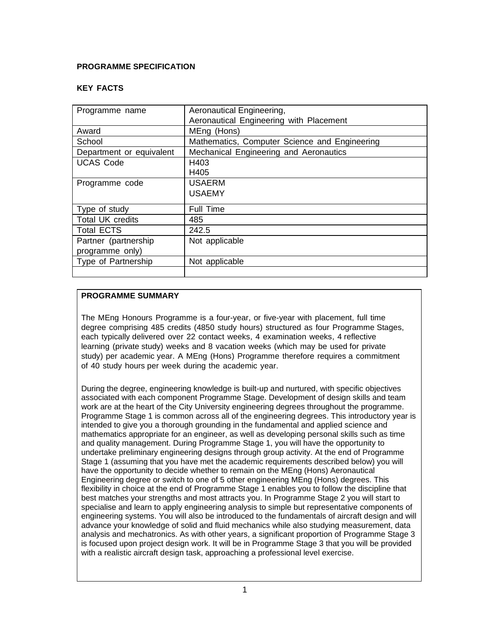## **PROGRAMME SPECIFICATION**

### **KEY FACTS**

| Programme name           | Aeronautical Engineering,                     |
|--------------------------|-----------------------------------------------|
|                          | Aeronautical Engineering with Placement       |
| Award                    | MEng (Hons)                                   |
| School                   | Mathematics, Computer Science and Engineering |
| Department or equivalent | Mechanical Engineering and Aeronautics        |
| <b>UCAS Code</b>         | H403                                          |
|                          | H405                                          |
| Programme code           | <b>USAERM</b>                                 |
|                          | <b>USAEMY</b>                                 |
|                          |                                               |
| Type of study            | <b>Full Time</b>                              |
| <b>Total UK credits</b>  | 485                                           |
| <b>Total ECTS</b>        | 242.5                                         |
| Partner (partnership     | Not applicable                                |
| programme only)          |                                               |
| Type of Partnership      | Not applicable                                |
|                          |                                               |

### **PROGRAMME SUMMARY**

The MEng Honours Programme is a four-year, or five-year with placement, full time degree comprising 485 credits (4850 study hours) structured as four Programme Stages, each typically delivered over 22 contact weeks, 4 examination weeks, 4 reflective learning (private study) weeks and 8 vacation weeks (which may be used for private study) per academic year. A MEng (Hons) Programme therefore requires a commitment of 40 study hours per week during the academic year.

During the degree, engineering knowledge is built-up and nurtured, with specific objectives associated with each component Programme Stage. Development of design skills and team work are at the heart of the City University engineering degrees throughout the programme. Programme Stage 1 is common across all of the engineering degrees. This introductory year is intended to give you a thorough grounding in the fundamental and applied science and mathematics appropriate for an engineer, as well as developing personal skills such as time and quality management. During Programme Stage 1, you will have the opportunity to undertake preliminary engineering designs through group activity. At the end of Programme Stage 1 (assuming that you have met the academic requirements described below) you will have the opportunity to decide whether to remain on the MEng (Hons) Aeronautical Engineering degree or switch to one of 5 other engineering MEng (Hons) degrees. This flexibility in choice at the end of Programme Stage 1 enables you to follow the discipline that best matches your strengths and most attracts you. In Programme Stage 2 you will start to specialise and learn to apply engineering analysis to simple but representative components of engineering systems. You will also be introduced to the fundamentals of aircraft design and will advance your knowledge of solid and fluid mechanics while also studying measurement, data analysis and mechatronics. As with other years, a significant proportion of Programme Stage 3 is focused upon project design work. It will be in Programme Stage 3 that you will be provided with a realistic aircraft design task, approaching a professional level exercise.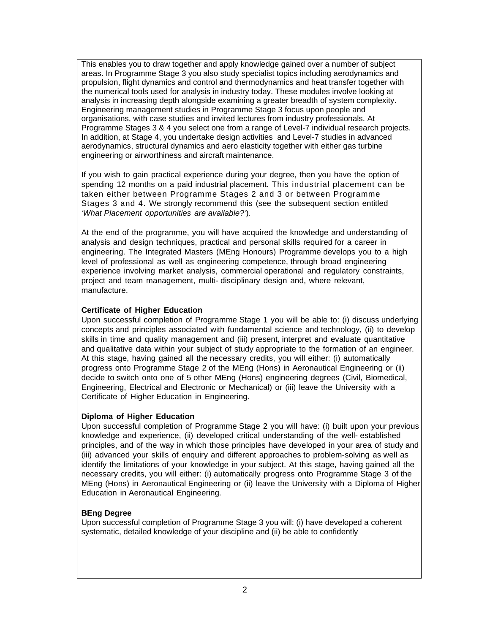This enables you to draw together and apply knowledge gained over a number of subject areas. In Programme Stage 3 you also study specialist topics including aerodynamics and propulsion, flight dynamics and control and thermodynamics and heat transfer together with the numerical tools used for analysis in industry today. These modules involve looking at analysis in increasing depth alongside examining a greater breadth of system complexity. Engineering management studies in Programme Stage 3 focus upon people and organisations, with case studies and invited lectures from industry professionals. At Programme Stages 3 & 4 you select one from a range of Level-7 individual research projects. In addition, at Stage 4, you undertake design activities and Level-7 studies in advanced aerodynamics, structural dynamics and aero elasticity together with either gas turbine engineering or airworthiness and aircraft maintenance.

If you wish to gain practical experience during your degree, then you have the option of spending 12 months on a paid industrial placement. This industrial placement can be taken either between Programme Stages 2 and 3 or between Programme Stages 3 and 4. We strongly recommend this (see the subsequent section entitled *'What Placement opportunities are available?'*).

At the end of the programme, you will have acquired the knowledge and understanding of analysis and design techniques, practical and personal skills required for a career in engineering. The Integrated Masters (MEng Honours) Programme develops you to a high level of professional as well as engineering competence, through broad engineering experience involving market analysis, commercial operational and regulatory constraints, project and team management, multi- disciplinary design and, where relevant, manufacture.

### **Certificate of Higher Education**

Upon successful completion of Programme Stage 1 you will be able to: (i) discuss underlying concepts and principles associated with fundamental science and technology, (ii) to develop skills in time and quality management and (iii) present, interpret and evaluate quantitative and qualitative data within your subject of study appropriate to the formation of an engineer. At this stage, having gained all the necessary credits, you will either: (i) automatically progress onto Programme Stage 2 of the MEng (Hons) in Aeronautical Engineering or (ii) decide to switch onto one of 5 other MEng (Hons) engineering degrees (Civil, Biomedical, Engineering, Electrical and Electronic or Mechanical) or (iii) leave the University with a Certificate of Higher Education in Engineering.

#### **Diploma of Higher Education**

Upon successful completion of Programme Stage 2 you will have: (i) built upon your previous knowledge and experience, (ii) developed critical understanding of the well- established principles, and of the way in which those principles have developed in your area of study and (iii) advanced your skills of enquiry and different approaches to problem-solving as well as identify the limitations of your knowledge in your subject. At this stage, having gained all the necessary credits, you will either: (i) automatically progress onto Programme Stage 3 of the MEng (Hons) in Aeronautical Engineering or (ii) leave the University with a Diploma of Higher Education in Aeronautical Engineering.

### **BEng Degree**

Upon successful completion of Programme Stage 3 you will: (i) have developed a coherent systematic, detailed knowledge of your discipline and (ii) be able to confidently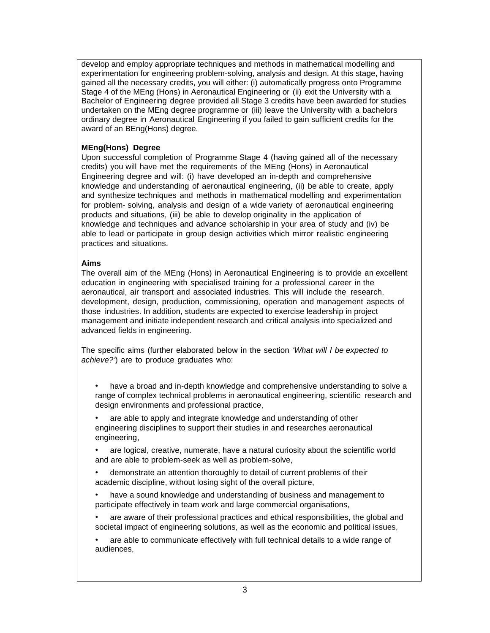develop and employ appropriate techniques and methods in mathematical modelling and experimentation for engineering problem-solving, analysis and design. At this stage, having gained all the necessary credits, you will either: (i) automatically progress onto Programme Stage 4 of the MEng (Hons) in Aeronautical Engineering or (ii) exit the University with a Bachelor of Engineering degree provided all Stage 3 credits have been awarded for studies undertaken on the MEng degree programme or (iii) leave the University with a bachelors ordinary degree in Aeronautical Engineering if you failed to gain sufficient credits for the award of an BEng(Hons) degree.

# **MEng(Hons) Degree**

Upon successful completion of Programme Stage 4 (having gained all of the necessary credits) you will have met the requirements of the MEng (Hons) in Aeronautical Engineering degree and will: (i) have developed an in-depth and comprehensive knowledge and understanding of aeronautical engineering, (ii) be able to create, apply and synthesize techniques and methods in mathematical modelling and experimentation for problem- solving, analysis and design of a wide variety of aeronautical engineering products and situations, (iii) be able to develop originality in the application of knowledge and techniques and advance scholarship in your area of study and (iv) be able to lead or participate in group design activities which mirror realistic engineering practices and situations.

## **Aims**

The overall aim of the MEng (Hons) in Aeronautical Engineering is to provide an excellent education in engineering with specialised training for a professional career in the aeronautical, air transport and associated industries. This will include the research, development, design, production, commissioning, operation and management aspects of those industries. In addition, students are expected to exercise leadership in project management and initiate independent research and critical analysis into specialized and advanced fields in engineering.

The specific aims (further elaborated below in the section *'What will I be expected to achieve?'*) are to produce graduates who:

• have a broad and in-depth knowledge and comprehensive understanding to solve a range of complex technical problems in aeronautical engineering, scientific research and design environments and professional practice,

• are able to apply and integrate knowledge and understanding of other engineering disciplines to support their studies in and researches aeronautical engineering,

• are logical, creative, numerate, have a natural curiosity about the scientific world and are able to problem-seek as well as problem-solve,

• demonstrate an attention thoroughly to detail of current problems of their academic discipline, without losing sight of the overall picture,

• have a sound knowledge and understanding of business and management to participate effectively in team work and large commercial organisations,

• are aware of their professional practices and ethical responsibilities, the global and societal impact of engineering solutions, as well as the economic and political issues,

• are able to communicate effectively with full technical details to a wide range of audiences,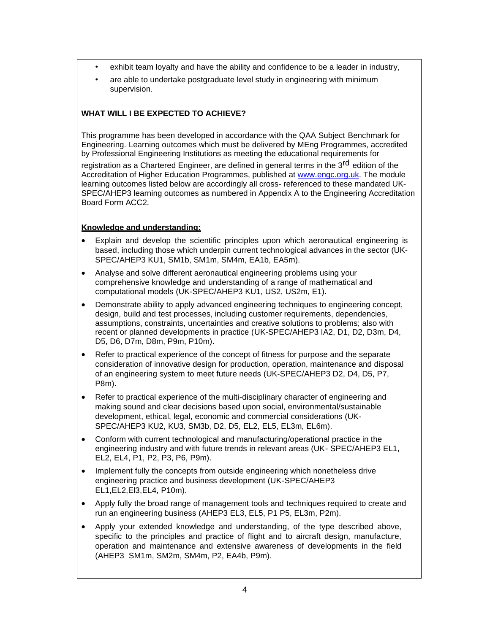- exhibit team loyalty and have the ability and confidence to be a leader in industry,
- are able to undertake postgraduate level study in engineering with minimum supervision.

# **WHAT WILL I BE EXPECTED TO ACHIEVE?**

This programme has been developed in accordance with the QAA Subject Benchmark for Engineering. Learning outcomes which must be delivered by MEng Programmes, accredited by Professional Engineering Institutions as meeting the educational requirements for

registration as a Chartered Engineer, are defined in general terms in the 3<sup>rd</sup> edition of the Accreditation of Higher Education Programmes, published at [www.engc.org.uk. T](http://www.engc.org.uk/)he module learning outcomes listed below are accordingly all cross- referenced to these mandated UK-SPEC/AHEP3 learning outcomes as numbered in Appendix A to the Engineering Accreditation Board Form ACC2.

### **Knowledge and understanding:**

- Explain and develop the scientific principles upon which aeronautical engineering is based, including those which underpin current technological advances in the sector (UK-SPEC/AHEP3 KU1, SM1b, SM1m, SM4m, EA1b, EA5m).
- Analyse and solve different aeronautical engineering problems using your comprehensive knowledge and understanding of a range of mathematical and computational models (UK-SPEC/AHEP3 KU1, US2, US2m, E1).
- Demonstrate ability to apply advanced engineering techniques to engineering concept, design, build and test processes, including customer requirements, dependencies, assumptions, constraints, uncertainties and creative solutions to problems; also with recent or planned developments in practice (UK-SPEC/AHEP3 IA2, D1, D2, D3m, D4, D5, D6, D7m, D8m, P9m, P10m).
- Refer to practical experience of the concept of fitness for purpose and the separate consideration of innovative design for production, operation, maintenance and disposal of an engineering system to meet future needs (UK-SPEC/AHEP3 D2, D4, D5, P7, P8m).
- Refer to practical experience of the multi-disciplinary character of engineering and making sound and clear decisions based upon social, environmental/sustainable development, ethical, legal, economic and commercial considerations (UK-SPEC/AHEP3 KU2, KU3, SM3b, D2, D5, EL2, EL5, EL3m, EL6m).
- Conform with current technological and manufacturing/operational practice in the engineering industry and with future trends in relevant areas (UK- SPEC/AHEP3 EL1, EL2, EL4, P1, P2, P3, P6, P9m).
- Implement fully the concepts from outside engineering which nonetheless drive engineering practice and business development (UK-SPEC/AHEP3 EL1,EL2,El3,EL4, P10m).
- Apply fully the broad range of management tools and techniques required to create and run an engineering business (AHEP3 EL3, EL5, P1 P5, EL3m, P2m).
- Apply your extended knowledge and understanding, of the type described above, specific to the principles and practice of flight and to aircraft design, manufacture, operation and maintenance and extensive awareness of developments in the field (AHEP3 SM1m, SM2m, SM4m, P2, EA4b, P9m).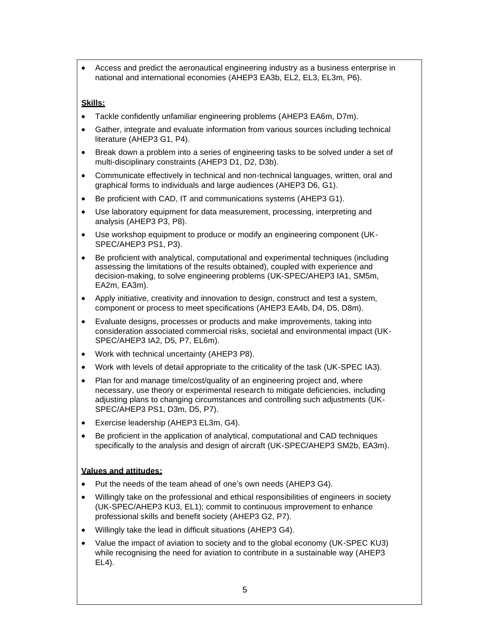• Access and predict the aeronautical engineering industry as a business enterprise in national and international economies (AHEP3 EA3b, EL2, EL3, EL3m, P6).

### **Skills:**

- Tackle confidently unfamiliar engineering problems (AHEP3 EA6m, D7m).
- Gather, integrate and evaluate information from various sources including technical literature (AHEP3 G1, P4).
- Break down a problem into a series of engineering tasks to be solved under a set of multi-disciplinary constraints (AHEP3 D1, D2, D3b).
- Communicate effectively in technical and non-technical languages, written, oral and graphical forms to individuals and large audiences (AHEP3 D6, G1).
- Be proficient with CAD, IT and communications systems (AHEP3 G1).
- Use laboratory equipment for data measurement, processing, interpreting and analysis (AHEP3 P3, P8).
- Use workshop equipment to produce or modify an engineering component (UK-SPEC/AHEP3 PS1, P3).
- Be proficient with analytical, computational and experimental techniques (including assessing the limitations of the results obtained), coupled with experience and decision-making, to solve engineering problems (UK-SPEC/AHEP3 IA1, SM5m, EA2m, EA3m).
- Apply initiative, creativity and innovation to design, construct and test a system, component or process to meet specifications (AHEP3 EA4b, D4, D5, D8m).
- Evaluate designs, processes or products and make improvements, taking into consideration associated commercial risks, societal and environmental impact (UK-SPEC/AHEP3 IA2, D5, P7, EL6m).
- Work with technical uncertainty (AHEP3 P8).
- Work with levels of detail appropriate to the criticality of the task (UK-SPEC IA3).
- Plan for and manage time/cost/quality of an engineering project and, where necessary, use theory or experimental research to mitigate deficiencies, including adjusting plans to changing circumstances and controlling such adjustments (UK-SPEC/AHEP3 PS1, D3m, D5, P7).
- Exercise leadership (AHEP3 EL3m, G4).
- Be proficient in the application of analytical, computational and CAD techniques specifically to the analysis and design of aircraft (UK-SPEC/AHEP3 SM2b, EA3m).

### **Values and attitudes:**

- Put the needs of the team ahead of one's own needs (AHEP3 G4).
- Willingly take on the professional and ethical responsibilities of engineers in society (UK-SPEC/AHEP3 KU3, EL1); commit to continuous improvement to enhance professional skills and benefit society (AHEP3 G2, P7).
- Willingly take the lead in difficult situations (AHEP3 G4).
- Value the impact of aviation to society and to the global economy (UK-SPEC KU3) while recognising the need for aviation to contribute in a sustainable way (AHEP3) EL4).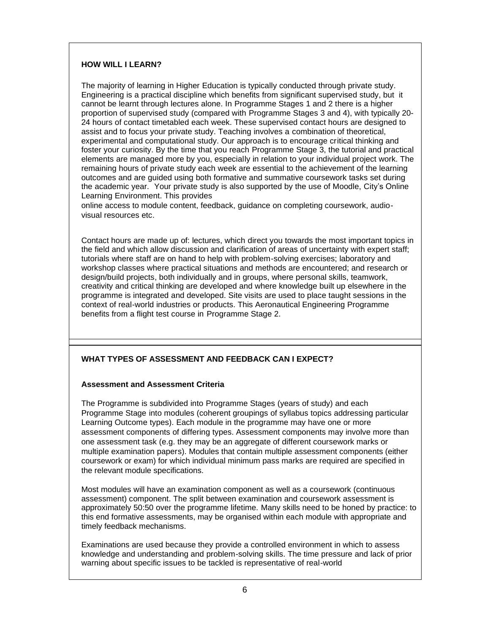### **HOW WILL I LEARN?**

The majority of learning in Higher Education is typically conducted through private study. Engineering is a practical discipline which benefits from significant supervised study, but it cannot be learnt through lectures alone. In Programme Stages 1 and 2 there is a higher proportion of supervised study (compared with Programme Stages 3 and 4), with typically 20- 24 hours of contact timetabled each week. These supervised contact hours are designed to assist and to focus your private study. Teaching involves a combination of theoretical, experimental and computational study. Our approach is to encourage critical thinking and foster your curiosity. By the time that you reach Programme Stage 3, the tutorial and practical elements are managed more by you, especially in relation to your individual project work. The remaining hours of private study each week are essential to the achievement of the learning outcomes and are guided using both formative and summative coursework tasks set during the academic year. Your private study is also supported by the use of Moodle, City's Online Learning Environment. This provides

online access to module content, feedback, guidance on completing coursework, audiovisual resources etc.

Contact hours are made up of: lectures, which direct you towards the most important topics in the field and which allow discussion and clarification of areas of uncertainty with expert staff; tutorials where staff are on hand to help with problem-solving exercises; laboratory and workshop classes where practical situations and methods are encountered; and research or design/build projects, both individually and in groups, where personal skills, teamwork, creativity and critical thinking are developed and where knowledge built up elsewhere in the programme is integrated and developed. Site visits are used to place taught sessions in the context of real-world industries or products. This Aeronautical Engineering Programme benefits from a flight test course in Programme Stage 2.

### **WHAT TYPES OF ASSESSMENT AND FEEDBACK CAN I EXPECT?**

#### **Assessment and Assessment Criteria**

The Programme is subdivided into Programme Stages (years of study) and each Programme Stage into modules (coherent groupings of syllabus topics addressing particular Learning Outcome types). Each module in the programme may have one or more assessment components of differing types. Assessment components may involve more than one assessment task (e.g. they may be an aggregate of different coursework marks or multiple examination papers). Modules that contain multiple assessment components (either coursework or exam) for which individual minimum pass marks are required are specified in the relevant module specifications.

Most modules will have an examination component as well as a coursework (continuous assessment) component. The split between examination and coursework assessment is approximately 50:50 over the programme lifetime. Many skills need to be honed by practice: to this end formative assessments, may be organised within each module with appropriate and timely feedback mechanisms.

Examinations are used because they provide a controlled environment in which to assess knowledge and understanding and problem-solving skills. The time pressure and lack of prior warning about specific issues to be tackled is representative of real-world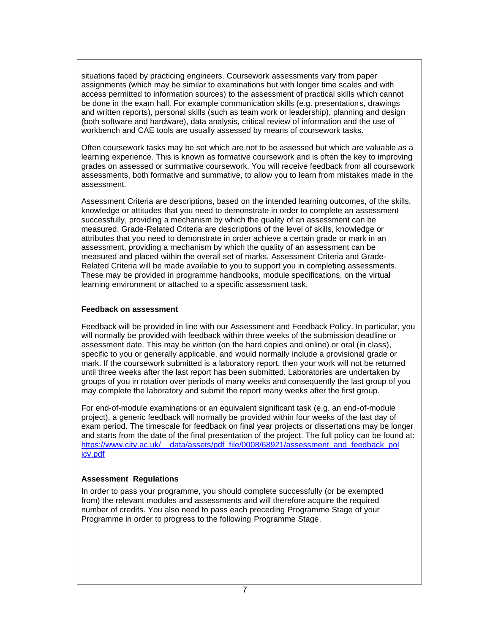situations faced by practicing engineers. Coursework assessments vary from paper assignments (which may be similar to examinations but with longer time scales and with access permitted to information sources) to the assessment of practical skills which cannot be done in the exam hall. For example communication skills (e.g. presentations, drawings and written reports), personal skills (such as team work or leadership), planning and design (both software and hardware), data analysis, critical review of information and the use of workbench and CAE tools are usually assessed by means of coursework tasks.

Often coursework tasks may be set which are not to be assessed but which are valuable as a learning experience. This is known as formative coursework and is often the key to improving grades on assessed or summative coursework. You will receive feedback from all coursework assessments, both formative and summative, to allow you to learn from mistakes made in the assessment.

Assessment Criteria are descriptions, based on the intended learning outcomes, of the skills, knowledge or attitudes that you need to demonstrate in order to complete an assessment successfully, providing a mechanism by which the quality of an assessment can be measured. Grade-Related Criteria are descriptions of the level of skills, knowledge or attributes that you need to demonstrate in order achieve a certain grade or mark in an assessment, providing a mechanism by which the quality of an assessment can be measured and placed within the overall set of marks. Assessment Criteria and Grade-Related Criteria will be made available to you to support you in completing assessments. These may be provided in programme handbooks, module specifications, on the virtual learning environment or attached to a specific assessment task.

### **Feedback on assessment**

Feedback will be provided in line with our Assessment and Feedback Policy. In particular, you will normally be provided with feedback within three weeks of the submission deadline or assessment date. This may be written (on the hard copies and online) or oral (in class), specific to you or generally applicable, and would normally include a provisional grade or mark. If the coursework submitted is a laboratory report, then your work will not be returned until three weeks after the last report has been submitted. Laboratories are undertaken by groups of you in rotation over periods of many weeks and consequently the last group of you may complete the laboratory and submit the report many weeks after the first group.

For end-of-module examinations or an equivalent significant task (e.g. an end-of-module project), a generic feedback will normally be provided within four weeks of the last day of exam period. The timescale for feedback on final year projects or dissertations may be longer and starts from the date of the final presentation of the project. The full policy can be found at: [https://www.city.ac.uk/\\_\\_data/assets/pdf\\_file/0008/68921/assessment\\_and\\_feedback\\_pol](https://www.city.ac.uk/__data/assets/pdf_file/0008/68921/assessment_and_feedback_policy.pdf) [icy.pdf](https://www.city.ac.uk/__data/assets/pdf_file/0008/68921/assessment_and_feedback_policy.pdf)

### **Assessment Regulations**

In order to pass your programme, you should complete successfully (or be exempted from) the relevant modules and assessments and will therefore acquire the required number of credits. You also need to pass each preceding Programme Stage of your Programme in order to progress to the following Programme Stage.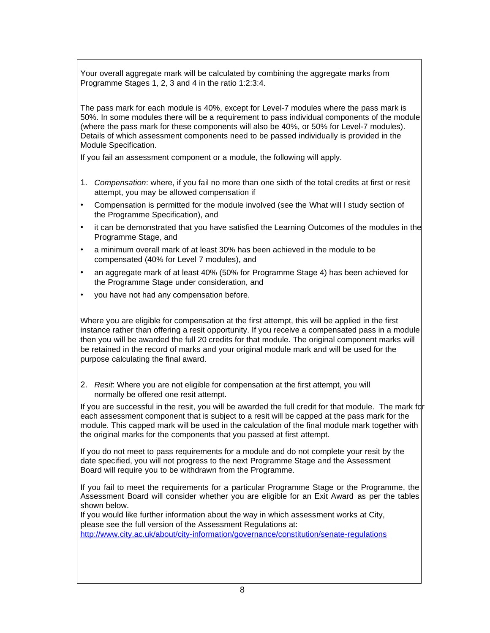Your overall aggregate mark will be calculated by combining the aggregate marks from Programme Stages 1, 2, 3 and 4 in the ratio 1:2:3:4.

The pass mark for each module is 40%, except for Level-7 modules where the pass mark is 50%. In some modules there will be a requirement to pass individual components of the module (where the pass mark for these components will also be 40%, or 50% for Level-7 modules). Details of which assessment components need to be passed individually is provided in the Module Specification.

If you fail an assessment component or a module, the following will apply.

- 1. *Compensation*: where, if you fail no more than one sixth of the total credits at first or resit attempt, you may be allowed compensation if
- Compensation is permitted for the module involved (see the What will I study section of the Programme Specification), and
- it can be demonstrated that you have satisfied the Learning Outcomes of the modules in the Programme Stage, and
- a minimum overall mark of at least 30% has been achieved in the module to be compensated (40% for Level 7 modules), and
- an aggregate mark of at least 40% (50% for Programme Stage 4) has been achieved for the Programme Stage under consideration, and
- you have not had any compensation before.

Where you are eligible for compensation at the first attempt, this will be applied in the first instance rather than offering a resit opportunity. If you receive a compensated pass in a module then you will be awarded the full 20 credits for that module. The original component marks will be retained in the record of marks and your original module mark and will be used for the purpose calculating the final award.

2. *Resit*: Where you are not eligible for compensation at the first attempt, you will normally be offered one resit attempt.

If you are successful in the resit, you will be awarded the full credit for that module. The mark for each assessment component that is subject to a resit will be capped at the pass mark for the module. This capped mark will be used in the calculation of the final module mark together with the original marks for the components that you passed at first attempt.

If you do not meet to pass requirements for a module and do not complete your resit by the date specified, you will not progress to the next Programme Stage and the Assessment Board will require you to be withdrawn from the Programme.

If you fail to meet the requirements for a particular Programme Stage or the Programme, the Assessment Board will consider whether you are eligible for an Exit Award as per the tables shown below.

If you would like further information about the way in which assessment works at City, please see the full version of the Assessment Regulations at:

<http://www.city.ac.uk/about/city-information/governance/constitution/senate-regulations>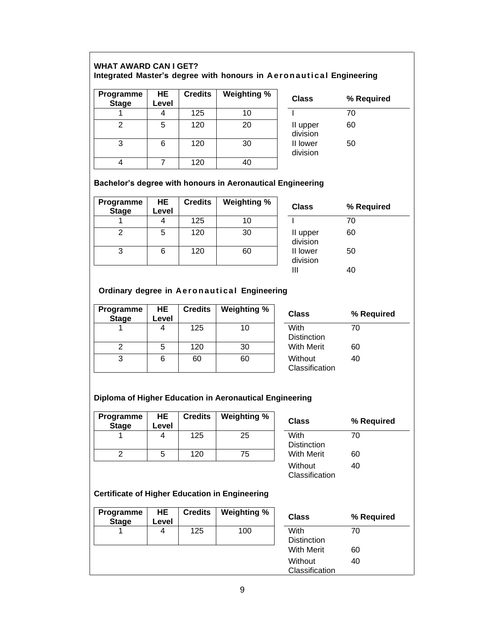# **WHAT AWARD CAN I GET? Integrated Master's degree with honours in A e r o n a ut i c a l Engineering**

| Programme<br><b>Stage</b> | HE<br>Level | <b>Credits</b> | <b>Weighting %</b> | <b>Class</b>         | % Required |
|---------------------------|-------------|----------------|--------------------|----------------------|------------|
|                           |             | 125            | 10                 |                      | 70         |
| ົ                         | 5           | 120            | 20                 | II upper<br>division | 60         |
| 3                         | 6           | 120            | 30                 | II lower<br>division | 50         |
|                           |             | 120            | 40                 |                      |            |

### **Bachelor's degree with honours in Aeronautical Engineering**

| Programme<br><b>Stage</b> | HE<br>Level | <b>Credits</b> | Weighting % | <b>Class</b>         | %                |
|---------------------------|-------------|----------------|-------------|----------------------|------------------|
|                           |             | 125            | 10          |                      | 70               |
|                           | 5           | 120            | 30          | II upper<br>division | 60               |
|                           | 6           | 120            | 60          | II lower<br>division | 50<br>$\sqrt{2}$ |

| <b>Credits</b> | Weighting % | <b>Class</b>         | % Required |  |
|----------------|-------------|----------------------|------------|--|
| 125            | 10          |                      | 70         |  |
| 120            | 30          | II upper<br>division | 60         |  |
| 120            | 60          | II lower<br>division | 50         |  |
|                |             |                      | 40         |  |

# **Ordinary degree in A e r o n a ut i c a l Engineering**

| <b>Programme</b><br><b>Stage</b> | HE.<br>Level | <b>Credits</b> | Weighting % | <b>Class</b>               | %  |
|----------------------------------|--------------|----------------|-------------|----------------------------|----|
|                                  |              | 125            | 10          | With<br><b>Distinction</b> | 70 |
|                                  | 5            | 120            | 30          | <b>With Merit</b>          | 60 |
|                                  |              | 60             | 60          | Without<br>Classification  | 40 |

| Credits | <b>Weighting %</b> | <b>Class</b>               | % Required |
|---------|--------------------|----------------------------|------------|
| 125     | 10                 | With<br><b>Distinction</b> | 70         |
| 120     | 30                 | <b>With Merit</b>          | 60         |
| 60      | 60                 | Without<br>Classification  | 40         |

# **Diploma of Higher Education in Aeronautical Engineering**

| Programme<br><b>Stage</b> | HE<br>Level | <b>Credits</b> | Weighting % | <b>Class</b>               | ℅  |
|---------------------------|-------------|----------------|-------------|----------------------------|----|
|                           |             | 125            | 25          | With<br><b>Distinction</b> | 70 |
|                           |             | 120            | 75          | <b>With Merit</b>          | 60 |

| <b>Credits</b> | <b>Weighting %</b> | <b>Class</b>               | % Required |
|----------------|--------------------|----------------------------|------------|
| 125            | 25                 | With<br><b>Distinction</b> | 70         |
| 120            | 75                 | <b>With Merit</b>          | 60         |
|                |                    | Without<br>Classification  | 40         |

# **Certificate of Higher Education in Engineering**

| <b>Programme</b><br><b>Stage</b> | HE<br>Level | <b>Credits</b> | Weighting % | Clas:                 |
|----------------------------------|-------------|----------------|-------------|-----------------------|
|                                  |             | 125            | 100         | With<br><b>Distir</b> |
|                                  |             |                |             | With                  |
|                                  |             |                |             | Witho<br>Class        |

| <b>Credits</b> | <b>Weighting %</b> | <b>Class</b>       | % Required |  |
|----------------|--------------------|--------------------|------------|--|
| 125            | 100                | With               | 70         |  |
|                |                    | <b>Distinction</b> |            |  |
|                |                    | With Merit         | 60         |  |
|                |                    | Without            | 40         |  |
|                |                    | Classification     |            |  |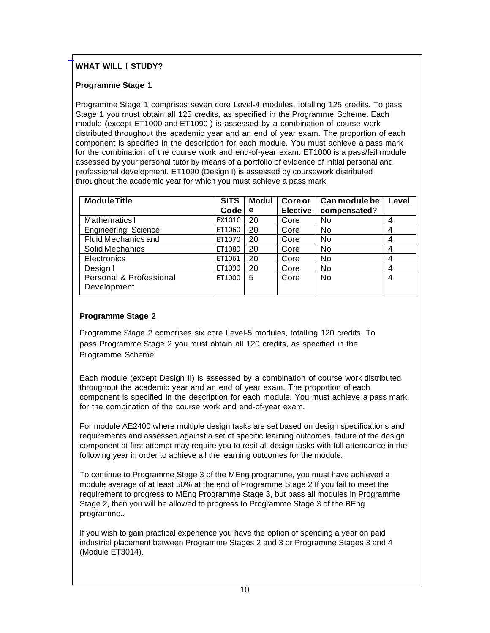# **WHAT WILL I STUDY?**

# **Programme Stage 1**

 $\overline{a}$ 

Programme Stage 1 comprises seven core Level-4 modules, totalling 125 credits. To pass Stage 1 you must obtain all 125 credits, as specified in the Programme Scheme. Each module (except ET1000 and ET1090 ) is assessed by a combination of course work distributed throughout the academic year and an end of year exam. The proportion of each component is specified in the description for each module. You must achieve a pass mark for the combination of the course work and end-of-year exam. ET1000 is a pass/fail module assessed by your personal tutor by means of a portfolio of evidence of initial personal and professional development. ET1090 (Design I) is assessed by coursework distributed throughout the academic year for which you must achieve a pass mark.

| <b>Module Title</b>                               | <b>SITS</b> | <b>Modul</b> | Core or         | Can module be  | Level |
|---------------------------------------------------|-------------|--------------|-----------------|----------------|-------|
|                                                   | Code        | е            | <b>Elective</b> | compensated?   |       |
| <b>Mathematics I</b>                              | EX1010      | 20           | Core            | No             | 4     |
| <b>Engineering Science</b>                        | ET1060      | 20           | Core            | N <sub>0</sub> | 4     |
| <b>Fluid Mechanics and</b>                        | ET1070      | 20           | Core            | No.            | 4     |
| Solid Mechanics                                   | ET1080      | 20           | Core            | No             | 4     |
| <b>Electronics</b>                                | ET1061      | 20           | Core            | N <sub>0</sub> | 4     |
| Design I                                          | ET1090      | 20           | Core            | No             | 4     |
| <b>Personal &amp; Professional</b><br>Development | ET1000      | 5            | Core            | <b>No</b>      | 4     |

# **Programme Stage 2**

Programme Stage 2 comprises six core Level-5 modules, totalling 120 credits. To pass Programme Stage 2 you must obtain all 120 credits, as specified in the Programme Scheme.

Each module (except Design II) is assessed by a combination of course work distributed throughout the academic year and an end of year exam. The proportion of each component is specified in the description for each module. You must achieve a pass mark for the combination of the course work and end-of-year exam.

For module AE2400 where multiple design tasks are set based on design specifications and requirements and assessed against a set of specific learning outcomes, failure of the design component at first attempt may require you to resit all design tasks with full attendance in the following year in order to achieve all the learning outcomes for the module.

To continue to Programme Stage 3 of the MEng programme, you must have achieved a module average of at least 50% at the end of Programme Stage 2 If you fail to meet the requirement to progress to MEng Programme Stage 3, but pass all modules in Programme Stage 2, then you will be allowed to progress to Programme Stage 3 of the BEng programme..

If you wish to gain practical experience you have the option of spending a year on paid industrial placement between Programme Stages 2 and 3 or Programme Stages 3 and 4 (Module ET3014).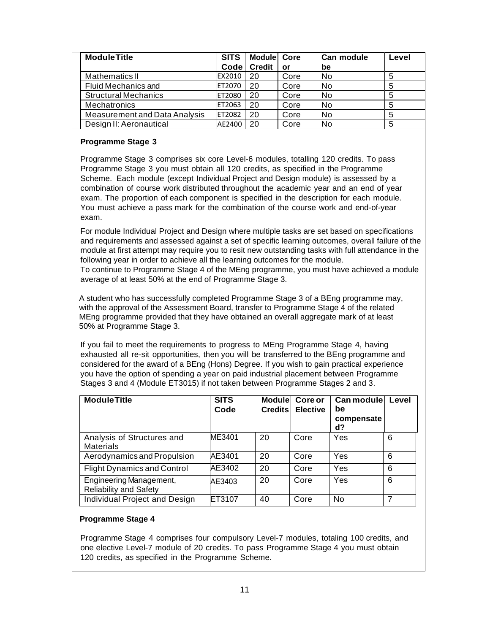| <b>Module Title</b>           | <b>SITS</b>       | Module Core   |           | Can module | Level |
|-------------------------------|-------------------|---------------|-----------|------------|-------|
|                               | Code <sub>1</sub> | <b>Credit</b> | <b>or</b> | be         |       |
| <b>Mathematics II</b>         | EX2010            | 20            | Core      | No         | 5     |
| Fluid Mechanics and           | <b>IET2070</b>    | 20            | Core      | No         | 5     |
| Structural Mechanics          | <b>ET2080</b>     | 20            | Core      | No         | 5     |
| <b>Mechatronics</b>           | <b>ET2063</b>     | 20            | Core      | No         | 5     |
| Measurement and Data Analysis | <b>ET2082</b>     | 20            | Core      | No         | 5     |
| Design II: Aeronautical       | AE2400            | 20            | Core      | <b>No</b>  | 5     |

### **Programme Stage 3**

Programme Stage 3 comprises six core Level-6 modules, totalling 120 credits. To pass Programme Stage 3 you must obtain all 120 credits, as specified in the Programme Scheme. Each module (except Individual Project and Design module) is assessed by a combination of course work distributed throughout the academic year and an end of year exam. The proportion of each component is specified in the description for each module. You must achieve a pass mark for the combination of the course work and end-of-year exam.

For module Individual Project and Design where multiple tasks are set based on specifications and requirements and assessed against a set of specific learning outcomes, overall failure of the module at first attempt may require you to resit new outstanding tasks with full attendance in the following year in order to achieve all the learning outcomes for the module.

To continue to Programme Stage 4 of the MEng programme, you must have achieved a module average of at least 50% at the end of Programme Stage 3.

 A student who has successfully completed Programme Stage 3 of a BEng programme may, with the approval of the Assessment Board, transfer to Programme Stage 4 of the related MEng programme provided that they have obtained an overall aggregate mark of at least 50% at Programme Stage 3.

If you fail to meet the requirements to progress to MEng Programme Stage 4, having exhausted all re-sit opportunities, then you will be transferred to the BEng programme and considered for the award of a BEng (Hons) Degree. If you wish to gain practical experience you have the option of spending a year on paid industrial placement between Programme Stages 3 and 4 (Module ET3015) if not taken between Programme Stages 2 and 3.

| <b>Module Title</b>                                      | <b>SITS</b><br>Code | <b>Credits</b> | <b>Modulel Coreor</b><br><b>Elective</b> | Can module<br>be<br>compensate<br>d? | Level          |
|----------------------------------------------------------|---------------------|----------------|------------------------------------------|--------------------------------------|----------------|
| Analysis of Structures and<br><b>Materials</b>           | ME3401              | 20             | Core                                     | Yes                                  | 6              |
| Aerodynamics and Propulsion                              | AE3401              | 20             | Core                                     | Yes                                  | 6              |
| <b>Flight Dynamics and Control</b>                       | AE3402              | 20             | Core                                     | Yes                                  | 6              |
| Engineering Management,<br><b>Reliability and Safety</b> | AE3403              | 20             | Core                                     | Yes                                  | 6              |
| Individual Project and Design                            | ET3107              | 40             | Core                                     | No                                   | $\overline{7}$ |

# **Programme Stage 4**

Programme Stage 4 comprises four compulsory Level-7 modules, totaling 100 credits, and one elective Level-7 module of 20 credits. To pass Programme Stage 4 you must obtain 120 credits, as specified in the Programme Scheme.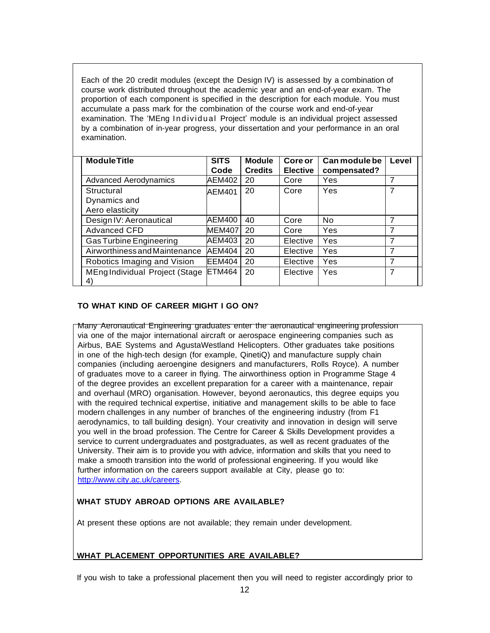Each of the 20 credit modules (except the Design IV) is assessed by a combination of course work distributed throughout the academic year and an end-of-year exam. The proportion of each component is specified in the description for each module. You must accumulate a pass mark for the combination of the course work and end-of-year examination. The 'MEng I ndividual Project' module is an individual project assessed by a combination of in-year progress, your dissertation and your performance in an oral examination.

| <b>Module Title</b>            | <b>SITS</b>   | <b>Module</b>  | Core or         | Can module be | Level          |
|--------------------------------|---------------|----------------|-----------------|---------------|----------------|
|                                | Code          | <b>Credits</b> | <b>Elective</b> | compensated?  |                |
| <b>Advanced Aerodynamics</b>   | AEM402        | 20             | Core            | Yes           | 7              |
| Structural                     | AEM401        | 20             | Core            | Yes           | 7              |
| Dynamics and                   |               |                |                 |               |                |
| Aero elasticity                |               |                |                 |               |                |
| Design IV: Aeronautical        | AEM400        | 40             | Core            | <b>No</b>     | 7              |
| <b>Advanced CFD</b>            | <b>MEM407</b> | 20             | Core            | <b>Yes</b>    | 7              |
| <b>Gas Turbine Engineering</b> | AEM403        | 20             | Elective        | Yes           | $\overline{7}$ |
| Airworthiness and Maintenance  | <b>AEM404</b> | 20             | Elective        | Yes           | 7              |
| Robotics Imaging and Vision    | <b>EEM404</b> | 20             | Elective        | Yes           | 7              |
| MEng Individual Project (Stage | ETM464        | 20             | Elective        | Yes           | 7              |
| $\vert 4 \rangle$              |               |                |                 |               |                |

## **TO WHAT KIND OF CAREER MIGHT I GO ON?**

Many Aeronautical Engineering graduates enter the aeronautical engineering profession via one of the major international aircraft or aerospace engineering companies such as Airbus, BAE Systems and AgustaWestland Helicopters. Other graduates take positions in one of the high-tech design (for example, QinetiQ) and manufacture supply chain companies (including aeroengine designers and manufacturers, Rolls Royce). A number of graduates move to a career in flying. The airworthiness option in Programme Stage 4 of the degree provides an excellent preparation for a career with a maintenance, repair and overhaul (MRO) organisation. However, beyond aeronautics, this degree equips you with the required technical expertise, initiative and management skills to be able to face modern challenges in any number of branches of the engineering industry (from F1 aerodynamics, to tall building design). Your creativity and innovation in design will serve you well in the broad profession. The Centre for Career & Skills Development provides a service to current undergraduates and postgraduates, as well as recent graduates of the University. Their aim is to provide you with advice, information and skills that you need to make a smooth transition into the world of professional engineering. If you would like further information on the careers support available at City, please go to: [http://www.city.ac.uk/careers.](http://www.city.ac.uk/careers)

# **WHAT STUDY ABROAD OPTIONS ARE AVAILABLE?**

At present these options are not available; they remain under development.

### **WHAT PLACEMENT OPPORTUNITIES ARE AVAILABLE?**

If you wish to take a professional placement then you will need to register accordingly prior to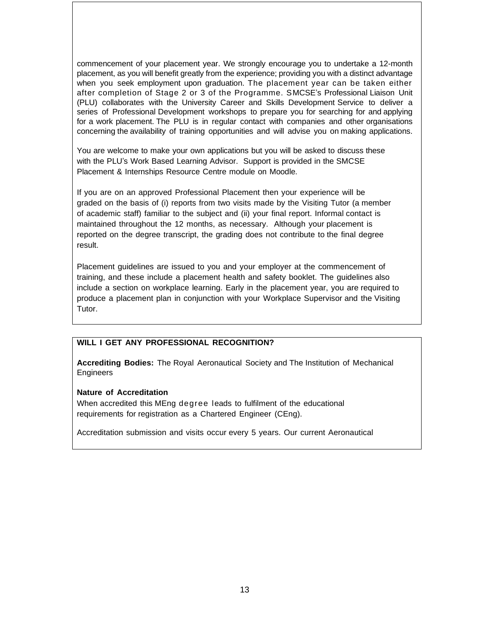commencement of your placement year. We strongly encourage you to undertake a 12-month placement, as you will benefit greatly from the experience; providing you with a distinct advantage when you seek employment upon graduation. The placement year can be taken either after completion of Stage 2 or 3 of the Programme. SMCSE's Professional Liaison Unit (PLU) collaborates with the University Career and Skills Development Service to deliver a series of Professional Development workshops to prepare you for searching for and applying for a work placement. The PLU is in regular contact with companies and other organisations concerning the availability of training opportunities and will advise you on making applications.

You are welcome to make your own applications but you will be asked to discuss these with the PLU's Work Based Learning Advisor. Support is provided in the SMCSE Placement & Internships Resource Centre module on Moodle.

If you are on an approved Professional Placement then your experience will be graded on the basis of (i) reports from two visits made by the Visiting Tutor (a member of academic staff) familiar to the subject and (ii) your final report. Informal contact is maintained throughout the 12 months, as necessary. Although your placement is reported on the degree transcript, the grading does not contribute to the final degree result.

Placement guidelines are issued to you and your employer at the commencement of training, and these include a placement health and safety booklet. The guidelines also include a section on workplace learning. Early in the placement year, you are required to produce a placement plan in conjunction with your Workplace Supervisor and the Visiting Tutor.

### **WILL I GET ANY PROFESSIONAL RECOGNITION?**

**Accrediting Bodies:** The Royal Aeronautical Society and The Institution of Mechanical **Engineers** 

### **Nature of Accreditation**

When accredited this MEng degree leads to fulfilment of the educational requirements for registration as a Chartered Engineer (CEng).

Accreditation submission and visits occur every 5 years. Our current Aeronautical